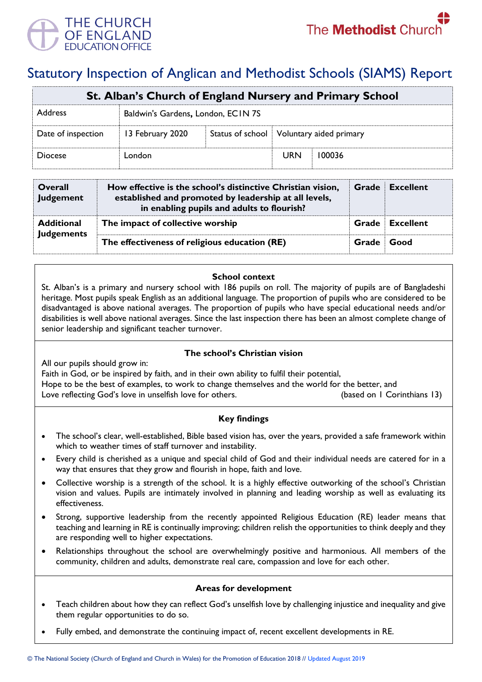

# Statutory Inspection of Anglican and Methodist Schools (SIAMS) Report

| St. Alban's Church of England Nursery and Primary School |                                    |  |                                            |        |  |  |
|----------------------------------------------------------|------------------------------------|--|--------------------------------------------|--------|--|--|
| <b>Address</b>                                           | Baldwin's Gardens, London, ECIN 7S |  |                                            |        |  |  |
| Date of inspection                                       | 13 February 2020                   |  | Status of school   Voluntary aided primary |        |  |  |
| <b>Diocese</b>                                           | London                             |  | <b>URN</b>                                 | 100036 |  |  |

| Overall<br><b>Judgement</b>            | How effective is the school's distinctive Christian vision,<br>established and promoted by leadership at all levels,<br>in enabling pupils and adults to flourish? | Grade      | Excellent              |
|----------------------------------------|--------------------------------------------------------------------------------------------------------------------------------------------------------------------|------------|------------------------|
| <b>Additional</b><br><b>Judgements</b> | The impact of collective worship                                                                                                                                   |            | <b>Grade Excellent</b> |
|                                        | The effectiveness of religious education (RE)                                                                                                                      | Grade Good |                        |

#### **School context**

St. Alban's is a primary and nursery school with 186 pupils on roll. The majority of pupils are of Bangladeshi heritage. Most pupils speak English as an additional language. The proportion of pupils who are considered to be disadvantaged is above national averages. The proportion of pupils who have special educational needs and/or disabilities is well above national averages. Since the last inspection there has been an almost complete change of senior leadership and significant teacher turnover.

## **The school's Christian vision**

All our pupils should grow in:

Faith in God, or be inspired by faith, and in their own ability to fulfil their potential, Hope to be the best of examples, to work to change themselves and the world for the better, and Love reflecting God's love in unselfish love for others. (based on 1 Corinthians 13)

## **Key findings**

- The school's clear, well-established, Bible based vision has, over the years, provided a safe framework within which to weather times of staff turnover and instability.
- Every child is cherished as a unique and special child of God and their individual needs are catered for in a way that ensures that they grow and flourish in hope, faith and love.
- Collective worship is a strength of the school. It is a highly effective outworking of the school's Christian vision and values. Pupils are intimately involved in planning and leading worship as well as evaluating its effectiveness.
- Strong, supportive leadership from the recently appointed Religious Education (RE) leader means that teaching and learning in RE is continually improving; children relish the opportunities to think deeply and they are responding well to higher expectations.
- Relationships throughout the school are overwhelmingly positive and harmonious. All members of the community, children and adults, demonstrate real care, compassion and love for each other.

## **Areas for development**

- Teach children about how they can reflect God's unselfish love by challenging injustice and inequality and give them regular opportunities to do so.
- Fully embed, and demonstrate the continuing impact of, recent excellent developments in RE.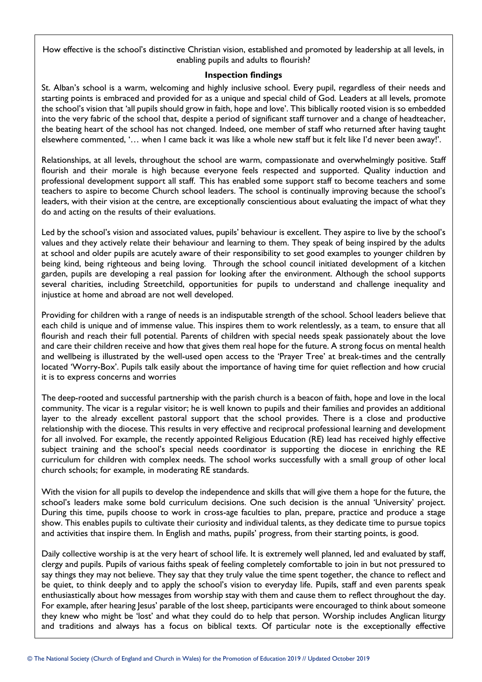How effective is the school's distinctive Christian vision, established and promoted by leadership at all levels, in enabling pupils and adults to flourish?

#### **Inspection findings**

St. Alban's school is a warm, welcoming and highly inclusive school. Every pupil, regardless of their needs and starting points is embraced and provided for as a unique and special child of God. Leaders at all levels, promote the school's vision that 'all pupils should grow in faith, hope and love'. This biblically rooted vision is so embedded into the very fabric of the school that, despite a period of significant staff turnover and a change of headteacher, the beating heart of the school has not changed. Indeed, one member of staff who returned after having taught elsewhere commented, '… when I came back it was like a whole new staff but it felt like I'd never been away!'.

Relationships, at all levels, throughout the school are warm, compassionate and overwhelmingly positive. Staff flourish and their morale is high because everyone feels respected and supported. Quality induction and professional development support all staff. This has enabled some support staff to become teachers and some teachers to aspire to become Church school leaders. The school is continually improving because the school's leaders, with their vision at the centre, are exceptionally conscientious about evaluating the impact of what they do and acting on the results of their evaluations.

Led by the school's vision and associated values, pupils' behaviour is excellent. They aspire to live by the school's values and they actively relate their behaviour and learning to them. They speak of being inspired by the adults at school and older pupils are acutely aware of their responsibility to set good examples to younger children by being kind, being righteous and being loving. Through the school council initiated development of a kitchen garden, pupils are developing a real passion for looking after the environment. Although the school supports several charities, including Streetchild, opportunities for pupils to understand and challenge inequality and injustice at home and abroad are not well developed.

Providing for children with a range of needs is an indisputable strength of the school. School leaders believe that each child is unique and of immense value. This inspires them to work relentlessly, as a team, to ensure that all flourish and reach their full potential. Parents of children with special needs speak passionately about the love and care their children receive and how that gives them real hope for the future. A strong focus on mental health and wellbeing is illustrated by the well-used open access to the 'Prayer Tree' at break-times and the centrally located 'Worry-Box'. Pupils talk easily about the importance of having time for quiet reflection and how crucial it is to express concerns and worries

The deep-rooted and successful partnership with the parish church is a beacon of faith, hope and love in the local community. The vicar is a regular visitor; he is well known to pupils and their families and provides an additional layer to the already excellent pastoral support that the school provides. There is a close and productive relationship with the diocese. This results in very effective and reciprocal professional learning and development for all involved. For example, the recently appointed Religious Education (RE) lead has received highly effective subject training and the school's special needs coordinator is supporting the diocese in enriching the RE curriculum for children with complex needs. The school works successfully with a small group of other local church schools; for example, in moderating RE standards.

With the vision for all pupils to develop the independence and skills that will give them a hope for the future, the school's leaders make some bold curriculum decisions. One such decision is the annual 'University' project. During this time, pupils choose to work in cross-age faculties to plan, prepare, practice and produce a stage show. This enables pupils to cultivate their curiosity and individual talents, as they dedicate time to pursue topics and activities that inspire them. In English and maths, pupils' progress, from their starting points, is good.

Daily collective worship is at the very heart of school life. It is extremely well planned, led and evaluated by staff, clergy and pupils. Pupils of various faiths speak of feeling completely comfortable to join in but not pressured to say things they may not believe. They say that they truly value the time spent together, the chance to reflect and be quiet, to think deeply and to apply the school's vision to everyday life. Pupils, staff and even parents speak enthusiastically about how messages from worship stay with them and cause them to reflect throughout the day. For example, after hearing Jesus' parable of the lost sheep, participants were encouraged to think about someone they knew who might be 'lost' and what they could do to help that person. Worship includes Anglican liturgy and traditions and always has a focus on biblical texts. Of particular note is the exceptionally effective